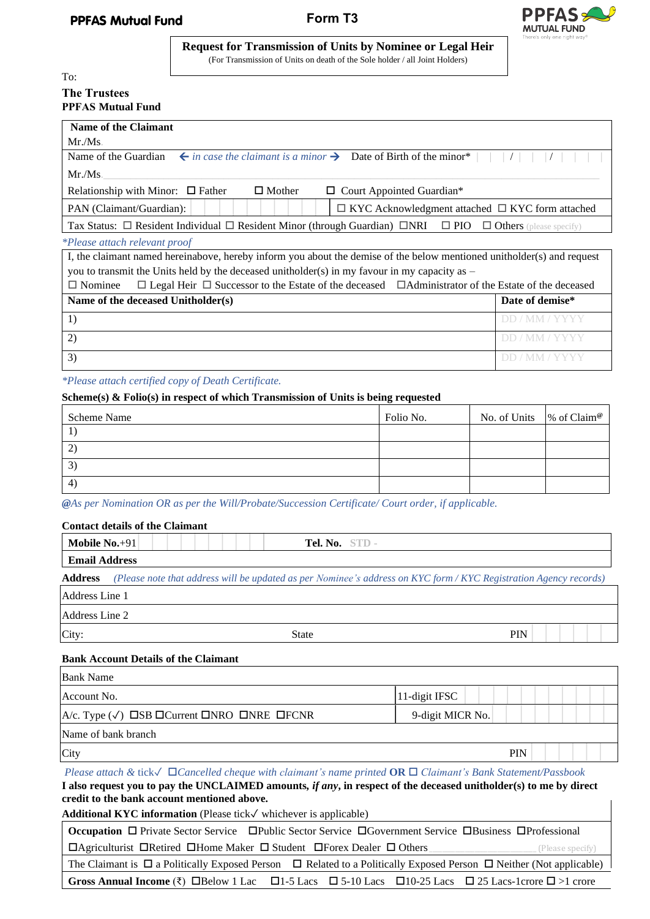

**Request for Transmission of Units by Nominee or Legal Heir** (For Transmission of Units on death of the Sole holder / all Joint Holders)

# To: **The Trustees PPFAS Mutual Fund**

| Name of the Claimant                                                                                                                  |                |  |
|---------------------------------------------------------------------------------------------------------------------------------------|----------------|--|
| Mr.Ms.                                                                                                                                |                |  |
| $\leftarrow$ in case the claimant is a minor $\rightarrow$ Date of Birth of the minor*<br>Name of the Guardian                        |                |  |
| Mr.Ms.                                                                                                                                |                |  |
| $\Box$ Mother<br>Relationship with Minor: $\Box$ Father<br>$\Box$ Court Appointed Guardian*                                           |                |  |
| $\Box$ KYC Acknowledgment attached $\Box$ KYC form attached<br>PAN (Claimant/Guardian):                                               |                |  |
| Tax Status: $\Box$ Resident Individual $\Box$ Resident Minor (through Guardian) $\Box$ NRI $\Box$ PIO $\Box$ Others (please specify)  |                |  |
| <i>*Please attach relevant proof</i>                                                                                                  |                |  |
| I, the claimant named hereinabove, hereby inform you about the demise of the below mentioned unitholder(s) and request                |                |  |
| you to transmit the Units held by the deceased unitholder(s) in my favour in my capacity as $-$                                       |                |  |
| $\Box$ Legal Heir $\Box$ Successor to the Estate of the deceased $\Box$ Administrator of the Estate of the deceased<br>$\Box$ Nominee |                |  |
| Date of demise*<br>Name of the deceased Unitholder(s)                                                                                 |                |  |
| 1)                                                                                                                                    | DD / MM / YYYY |  |

*\*Please attach certified copy of Death Certificate.*

## **Scheme(s) & Folio(s) in respect of which Transmission of Units is being requested**

| Scheme Name    | Folio No. | No. of Units $\%$ of Claim <sup>®</sup> |  |
|----------------|-----------|-----------------------------------------|--|
|                |           |                                         |  |
| $\overline{2}$ |           |                                         |  |
| 3              |           |                                         |  |
| $\overline{4}$ |           |                                         |  |

2) but the contract of the contract of the contract of  $\mathbb{D}D/\mathsf{MM}/\mathsf{YYYY}$  $\mathbf{3)}$  DD / MM / YYYY

*@As per Nomination OR as per the Will/Probate/Succession Certificate/ Court order, if applicable.* 

### **Contact details of the Claimant**

| Mobile $No.+91$      | Tel. No. STD -                                                                                                    |  |  |  |
|----------------------|-------------------------------------------------------------------------------------------------------------------|--|--|--|
| <b>Email Address</b> |                                                                                                                   |  |  |  |
| <b>Address</b>       | (Please note that address will be updated as per Nominee's address on KYC form / KYC Registration Agency records) |  |  |  |
| Address Line 1       |                                                                                                                   |  |  |  |
| Address Line 2       |                                                                                                                   |  |  |  |
| City:                | <b>PIN</b><br><b>State</b>                                                                                        |  |  |  |

## **Bank Account Details of the Claimant**

| <b>Bank Name</b>                                                                    |                  |
|-------------------------------------------------------------------------------------|------------------|
| Account No.                                                                         | 11-digit IFSC    |
| $ A/c.$ Type $(\sqrt{})$ $\Box$ SB $\Box$ Current $\Box$ NRO $\Box$ NRE $\Box$ FCNR | 9-digit MICR No. |
| Name of bank branch                                                                 |                  |
| City                                                                                | PIN              |

*Please attach &* tick✓ *Cancelled cheque with claimant's name printed* **OR** *Claimant's Bank Statement/Passbook*  **I also request you to pay the UNCLAIMED amounts***, if any***, in respect of the deceased unitholder(s) to me by direct credit to the bank account mentioned above.** 

**Additional KYC information** (Please tick✓ whichever is applicable)

**Occupation** □ Private Sector Service □ Public Sector Service □ Government Service □ Business □ Professional Agriculturist Retired Home Maker Student Forex Dealer Others\_\_\_\_\_\_\_\_\_\_\_\_\_\_\_\_\_\_\_\_\_\_\_\_\_\_\_\_\_\_\_\_\_ (Please specify) The Claimant is  $\Box$  a Politically Exposed Person  $\Box$  Related to a Politically Exposed Person  $\Box$  Neither (Not applicable)

**Gross Annual Income** ( $\overline{\xi}$ )  $\Box$  Below 1 Lac  $\Box$  1-5 Lacs  $\Box$  5-10 Lacs  $\Box$  10-25 Lacs  $\Box$  25 Lacs-1crore  $\Box$  >1 crore